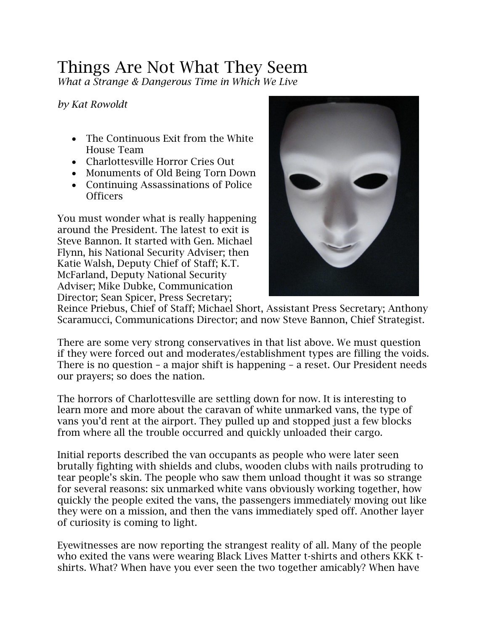## Things Are Not What They Seem

*What a Strange & Dangerous Time in Which We Live*

*by Kat Rowoldt*

- The Continuous Exit from the White House Team
- Charlottesville Horror Cries Out
- Monuments of Old Being Torn Down
- Continuing Assassinations of Police **Officers**

You must wonder what is really happening around the President. The latest to exit is Steve Bannon. It started with Gen. Michael Flynn, his National Security Adviser; then Katie Walsh, Deputy Chief of Staff; K.T. McFarland, Deputy National Security Adviser; Mike Dubke, Communication Director; Sean Spicer, Press Secretary;



Reince Priebus, Chief of Staff; Michael Short, Assistant Press Secretary; Anthony Scaramucci, Communications Director; and now Steve Bannon, Chief Strategist.

There are some very strong conservatives in that list above. We must question if they were forced out and moderates/establishment types are filling the voids. There is no question – a major shift is happening – a reset. Our President needs our prayers; so does the nation.

The horrors of Charlottesville are settling down for now. It is interesting to learn more and more about the caravan of white unmarked vans, the type of vans you'd rent at the airport. They pulled up and stopped just a few blocks from where all the trouble occurred and quickly unloaded their cargo.

Initial reports described the van occupants as people who were later seen brutally fighting with shields and clubs, wooden clubs with nails protruding to tear people's skin. The people who saw them unload thought it was so strange for several reasons: six unmarked white vans obviously working together, how quickly the people exited the vans, the passengers immediately moving out like they were on a mission, and then the vans immediately sped off. Another layer of curiosity is coming to light.

Eyewitnesses are now reporting the strangest reality of all. Many of the people who exited the vans were wearing Black Lives Matter t-shirts and others KKK tshirts. What? When have you ever seen the two together amicably? When have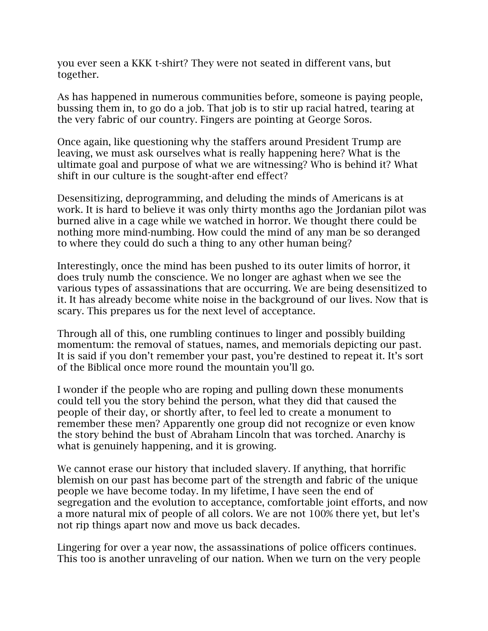you ever seen a KKK t-shirt? They were not seated in different vans, but together.

As has happened in numerous communities before, someone is paying people, bussing them in, to go do a job. That job is to stir up racial hatred, tearing at the very fabric of our country. Fingers are pointing at George Soros.

Once again, like questioning why the staffers around President Trump are leaving, we must ask ourselves what is really happening here? What is the ultimate goal and purpose of what we are witnessing? Who is behind it? What shift in our culture is the sought-after end effect?

Desensitizing, deprogramming, and deluding the minds of Americans is at work. It is hard to believe it was only thirty months ago the Jordanian pilot was burned alive in a cage while we watched in horror. We thought there could be nothing more mind-numbing. How could the mind of any man be so deranged to where they could do such a thing to any other human being?

Interestingly, once the mind has been pushed to its outer limits of horror, it does truly numb the conscience. We no longer are aghast when we see the various types of assassinations that are occurring. We are being desensitized to it. It has already become white noise in the background of our lives. Now that is scary. This prepares us for the next level of acceptance.

Through all of this, one rumbling continues to linger and possibly building momentum: the removal of statues, names, and memorials depicting our past. It is said if you don't remember your past, you're destined to repeat it. It's sort of the Biblical once more round the mountain you'll go.

I wonder if the people who are roping and pulling down these monuments could tell you the story behind the person, what they did that caused the people of their day, or shortly after, to feel led to create a monument to remember these men? Apparently one group did not recognize or even know the story behind the bust of Abraham Lincoln that was torched. Anarchy is what is genuinely happening, and it is growing.

We cannot erase our history that included slavery. If anything, that horrific blemish on our past has become part of the strength and fabric of the unique people we have become today. In my lifetime, I have seen the end of segregation and the evolution to acceptance, comfortable joint efforts, and now a more natural mix of people of all colors. We are not 100% there yet, but let's not rip things apart now and move us back decades.

Lingering for over a year now, the assassinations of police officers continues. This too is another unraveling of our nation. When we turn on the very people